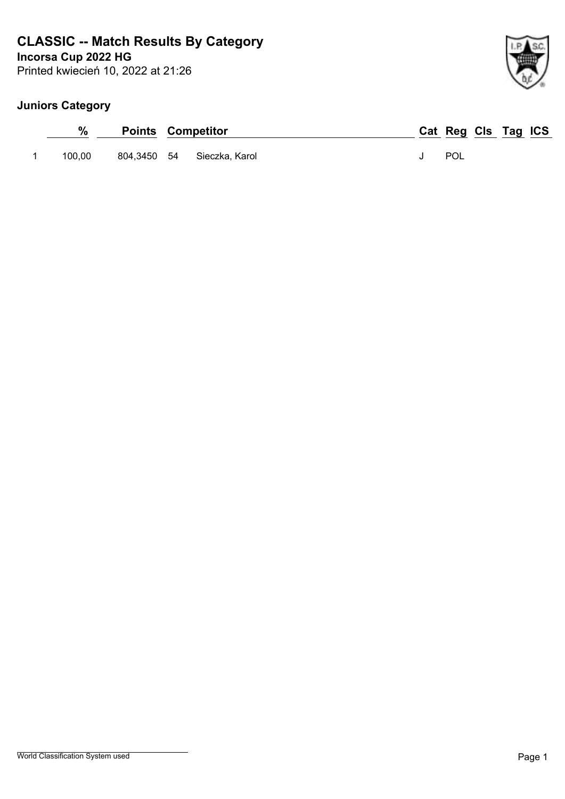# **CLASSIC -- Match Results By Category**

**Incorsa Cup 2022 HG**

Printed kwiecień 10, 2022 at 21:26

## **Juniors Category**

|        | <b>Points Competitor</b> |                           |  | Cat Reg Cls Tag ICS |  |  |
|--------|--------------------------|---------------------------|--|---------------------|--|--|
| 100,00 |                          | 804.3450 54 Sieczka Karol |  | POL                 |  |  |

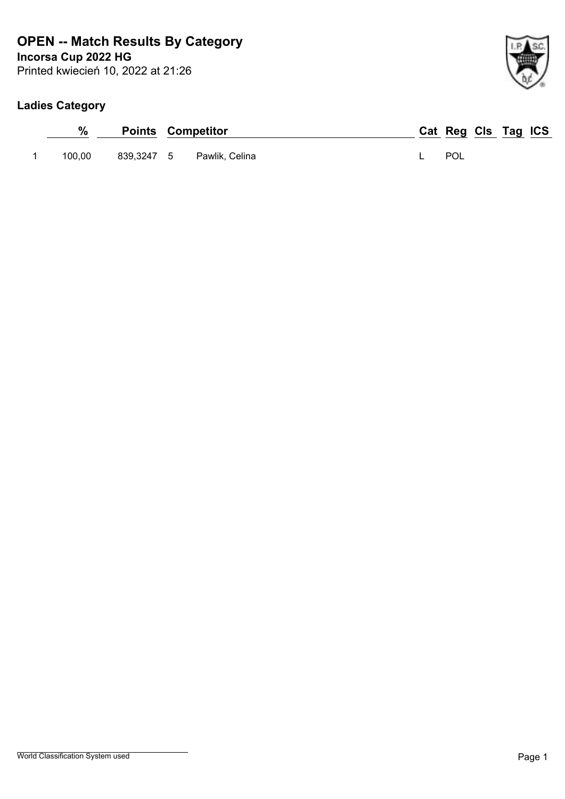## **Incorsa Cup 2022 HG OPEN -- Match Results By Category**

Printed kwiecień 10, 2022 at 21:26

## **Ladies Category**

| $\%$   | <b>Points Competitor</b>  | Cat Reg Cls Tag ICS |  |
|--------|---------------------------|---------------------|--|
| 100.00 | 839,3247 5 Pawlik, Celina | POL                 |  |

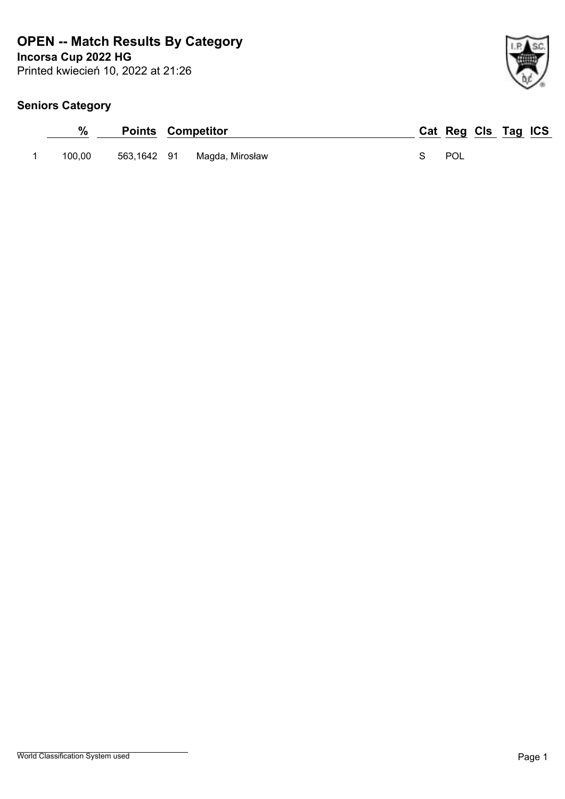## **Incorsa Cup 2022 HG OPEN -- Match Results By Category**

Printed kwiecień 10, 2022 at 21:26

|        |             | <b>Points Competitor</b> | Cat Reg Cls Tag ICS |
|--------|-------------|--------------------------|---------------------|
| 100.00 | 563,1642 91 | Magda, Mirosław          | POL                 |

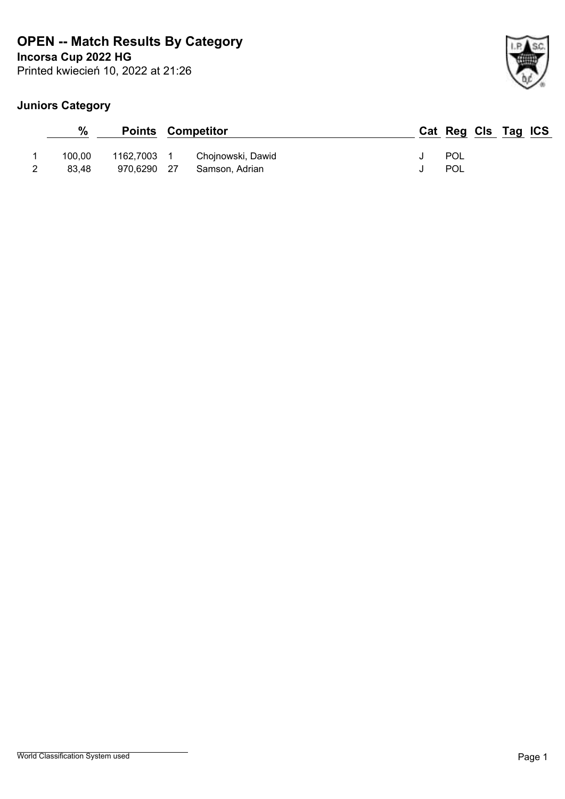## **Incorsa Cup 2022 HG OPEN -- Match Results By Category**

Printed kwiecień 10, 2022 at 21:26

## **Juniors Category**

| %      |             | <b>Points Competitor</b> |  | Cat Reg Cls Tag ICS |  |  |
|--------|-------------|--------------------------|--|---------------------|--|--|
| 100.00 | 1162,7003 1 | Chojnowski, Dawid        |  | POL                 |  |  |
| 83.48  | 970,6290 27 | Samson, Adrian           |  | POL                 |  |  |

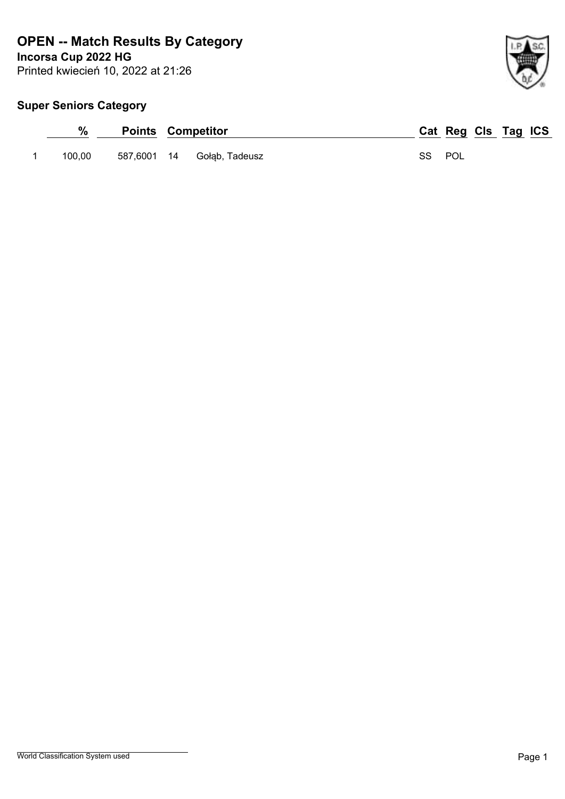**OPEN -- Match Results By Category**

**Incorsa Cup 2022 HG**

Printed kwiecień 10, 2022 at 21:26



## **Super Seniors Category**

| %      | <b>Points Competitor</b> |                            |        | Cat Reg Cls Tag ICS |  |  |
|--------|--------------------------|----------------------------|--------|---------------------|--|--|
| 100.00 |                          | 587,6001 14 Gołąb, Tadeusz | SS POL |                     |  |  |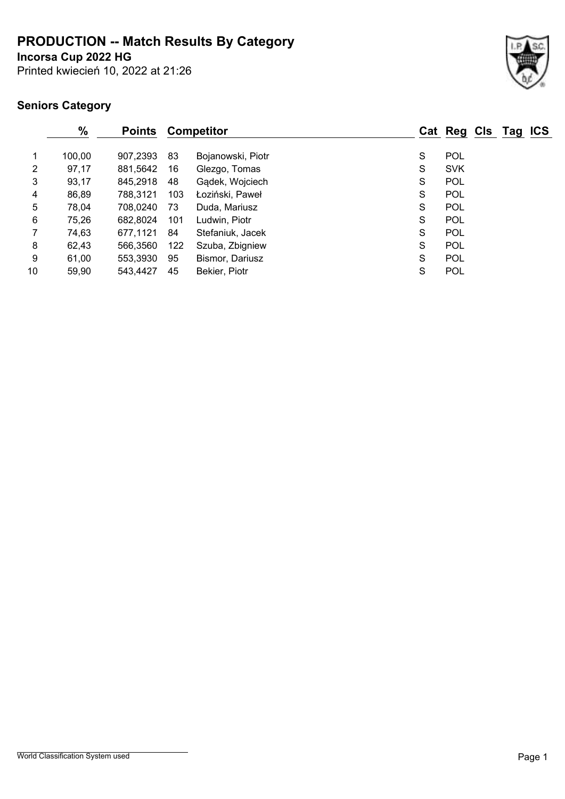**PRODUCTION -- Match Results By Category**

**Incorsa Cup 2022 HG**

Printed kwiecień 10, 2022 at 21:26

|                | $\%$   | <b>Points</b> |     | Competitor        |   | Cat Reg Cls Tag ICS |  |  |
|----------------|--------|---------------|-----|-------------------|---|---------------------|--|--|
| $\mathbf 1$    | 100,00 | 907,2393      | 83  | Bojanowski, Piotr | S | <b>POL</b>          |  |  |
| $\overline{2}$ | 97,17  | 881,5642      | 16  | Glezgo, Tomas     | S | <b>SVK</b>          |  |  |
| 3              | 93,17  | 845,2918      | 48  | Gądek, Wojciech   | S | <b>POL</b>          |  |  |
| 4              | 86,89  | 788,3121      | 103 | Łoziński, Paweł   | S | <b>POL</b>          |  |  |
| 5              | 78,04  | 708,0240      | 73  | Duda, Mariusz     | S | <b>POL</b>          |  |  |
| 6              | 75,26  | 682,8024      | 101 | Ludwin, Piotr     | S | <b>POL</b>          |  |  |
| $\overline{7}$ | 74,63  | 677,1121      | 84  | Stefaniuk, Jacek  | S | <b>POL</b>          |  |  |
| 8              | 62,43  | 566,3560      | 122 | Szuba, Zbigniew   | S | <b>POL</b>          |  |  |
| 9              | 61,00  | 553,3930      | 95  | Bismor, Dariusz   | S | <b>POL</b>          |  |  |
| 10             | 59,90  | 543,4427      | 45  | Bekier, Piotr     | S | POL                 |  |  |
|                |        |               |     |                   |   |                     |  |  |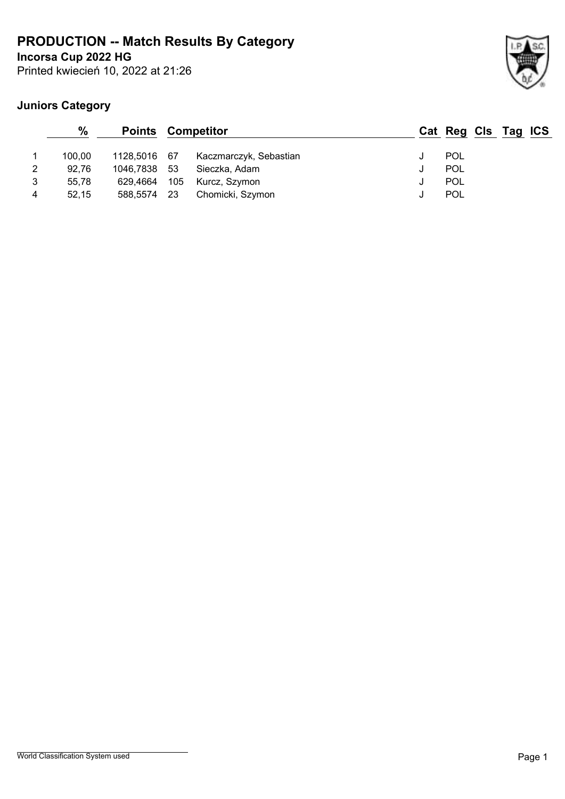**PRODUCTION -- Match Results By Category**

Printed kwiecień 10, 2022 at 21:26 **Incorsa Cup 2022 HG**



## **Juniors Category**

|   | $\frac{0}{0}$ | <b>Points Competitor</b> |       |                        |   | Cat Reg Cls Tag ICS |  |  |
|---|---------------|--------------------------|-------|------------------------|---|---------------------|--|--|
|   | 100.00        | 1128,5016 67             |       | Kaczmarczyk, Sebastian |   | <b>POL</b>          |  |  |
| 2 | 92.76         | 1046,7838 53             |       | Sieczka, Adam          | u | <b>POL</b>          |  |  |
| 3 | 55.78         | 629.4664                 | - 105 | Kurcz, Szymon          |   | <b>POL</b>          |  |  |
| 4 | 52.15         | 588,5574                 | - 23  | Chomicki, Szymon       |   | POL                 |  |  |

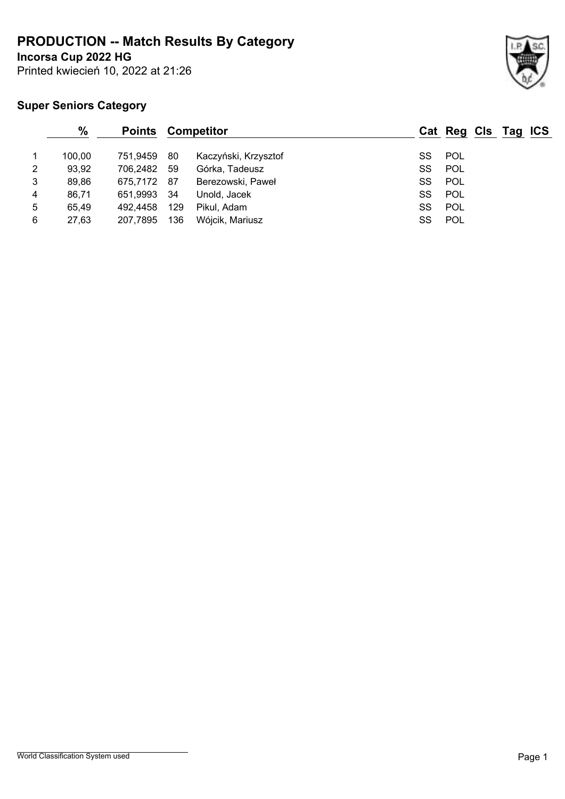**PRODUCTION -- Match Results By Category**

**Incorsa Cup 2022 HG**

Printed kwiecień 10, 2022 at 21:26

## **Super Seniors Category**

|   | $\%$   | <b>Points Competitor</b> |      |                      |    | Cat Reg Cls Tag ICS |  |  |
|---|--------|--------------------------|------|----------------------|----|---------------------|--|--|
|   | 100,00 | 751.9459                 | 80   | Kaczyński, Krzysztof | SS | POL                 |  |  |
| 2 | 93,92  | 706,2482 59              |      | Górka, Tadeusz       | SS | POL                 |  |  |
| 3 | 89,86  | 675,7172 87              |      | Berezowski, Paweł    | SS | <b>POL</b>          |  |  |
| 4 | 86,71  | 651,9993                 | - 34 | Unold, Jacek         | SS | POL                 |  |  |
| 5 | 65,49  | 492,4458                 | 129  | Pikul, Adam          | SS | POL                 |  |  |
| 6 | 27,63  | 207,7895                 | 136  | Wójcik, Mariusz      | SS | POL                 |  |  |
|   |        |                          |      |                      |    |                     |  |  |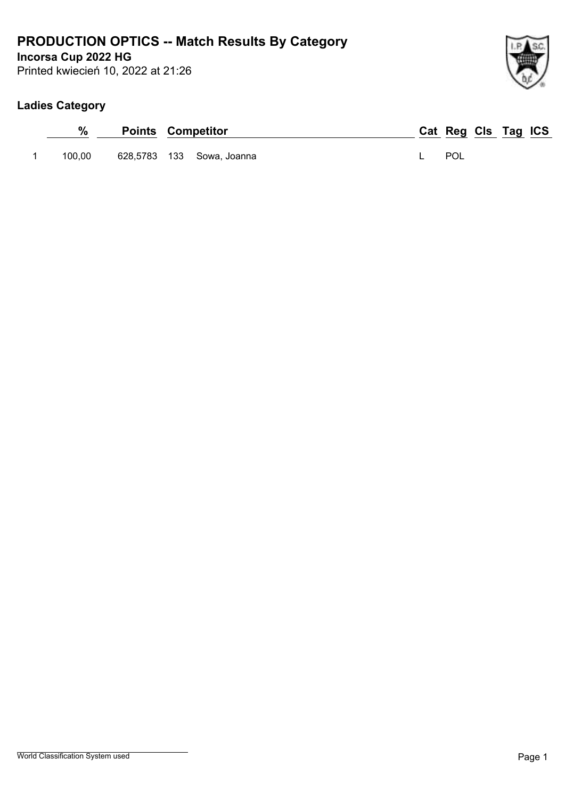# **PRODUCTION OPTICS -- Match Results By Category**

**Incorsa Cup 2022 HG**

Printed kwiecień 10, 2022 at 21:26



## **Ladies Category**

| %      | <b>Points Competitor</b> |                           |  | Cat Reg Cls Tag ICS |  |  |
|--------|--------------------------|---------------------------|--|---------------------|--|--|
| 100.00 |                          | 628,5783 133 Sowa, Joanna |  | POL                 |  |  |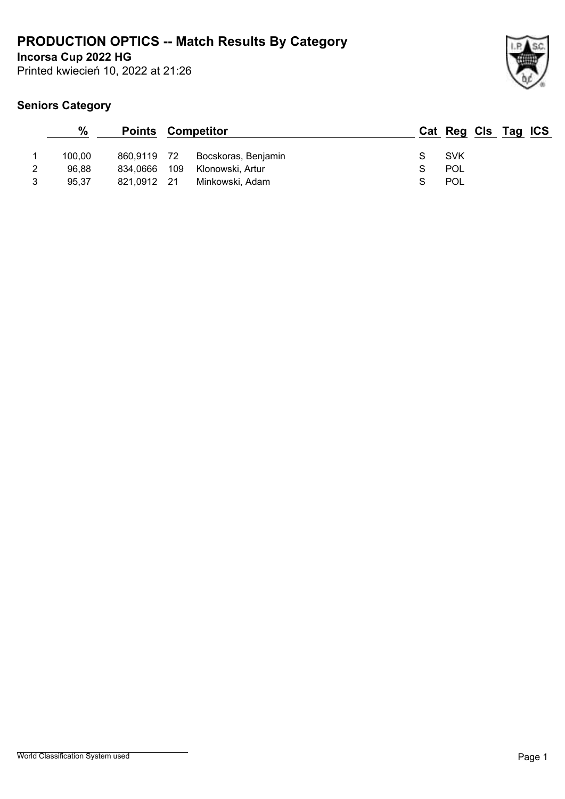# **PRODUCTION OPTICS -- Match Results By Category**

**Incorsa Cup 2022 HG**

Printed kwiecień 10, 2022 at 21:26



|   | $\frac{0}{0}$ | <b>Points Competitor</b> |     |                     |            | Cat Reg Cls Tag ICS |
|---|---------------|--------------------------|-----|---------------------|------------|---------------------|
|   | 100.00        | 860,9119 72              |     | Bocskoras, Benjamin | <b>SVK</b> |                     |
|   | 96.88         | 834.0666                 | 109 | Klonowski, Artur    | POL        |                     |
| 3 | 95.37         | 821.0912 21              |     | Minkowski, Adam     | POL        |                     |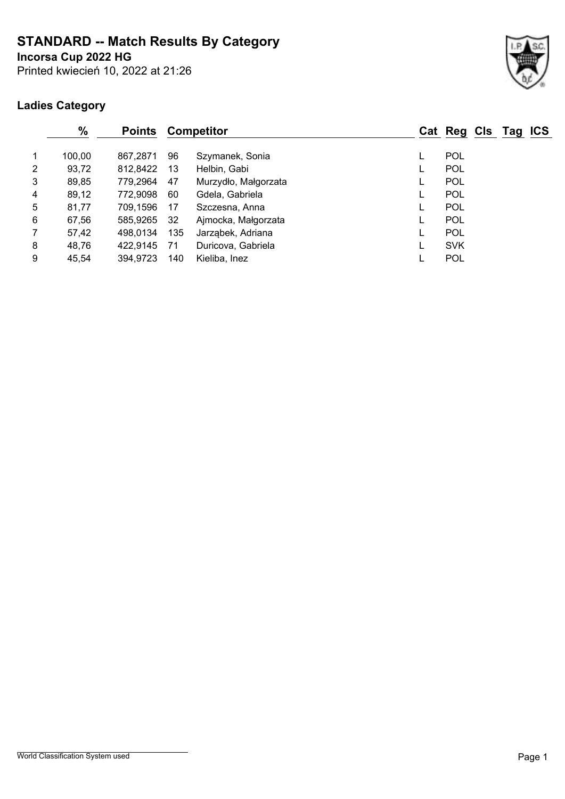**STANDARD -- Match Results By Category**

**Incorsa Cup 2022 HG**

Printed kwiecień 10, 2022 at 21:26



## **Ladies Category**

| %               |        | <b>Points</b> |     | <b>Competitor</b>    | Cat Reg Cls Tag ICS |  |  |
|-----------------|--------|---------------|-----|----------------------|---------------------|--|--|
| $\mathbf{1}$    | 100,00 | 867.2871      | 96  | Szymanek, Sonia      | <b>POL</b>          |  |  |
| $\overline{2}$  | 93,72  | 812,8422      | 13  | Helbin, Gabi         | <b>POL</b>          |  |  |
| 3               | 89,85  | 779,2964      | 47  | Murzydło, Małgorzata | POL                 |  |  |
| 4               | 89,12  | 772,9098      | 60  | Gdela, Gabriela      | POL                 |  |  |
| $5\phantom{.0}$ | 81,77  | 709,1596      | 17  | Szczesna, Anna       | <b>POL</b>          |  |  |
| 6               | 67,56  | 585,9265      | 32  | Ajmocka, Małgorzata  | POL                 |  |  |
| $\overline{7}$  | 57,42  | 498.0134      | 135 | Jarząbek, Adriana    | <b>POL</b>          |  |  |
| 8               | 48,76  | 422,9145      | 71  | Duricova, Gabriela   | <b>SVK</b>          |  |  |
| 9               | 45,54  | 394,9723      | 140 | Kieliba, Inez        | <b>POL</b>          |  |  |
|                 |        |               |     |                      |                     |  |  |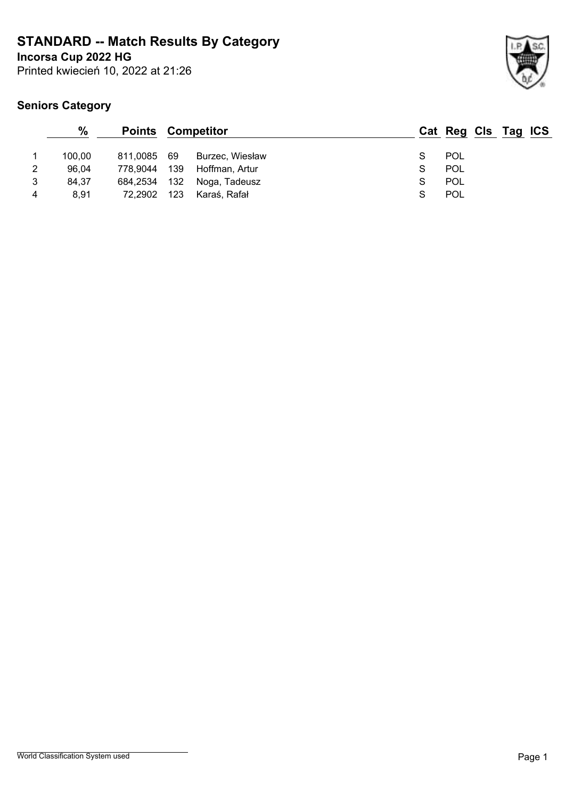**STANDARD -- Match Results By Category**

**Incorsa Cup 2022 HG**

Printed kwiecień 10, 2022 at 21:26



|   | $\%$   | <b>Points Competitor</b> |     |                 |   | Cat Reg Cls Tag ICS |  |  |
|---|--------|--------------------------|-----|-----------------|---|---------------------|--|--|
|   | 100.00 | 811.0085 69              |     | Burzec, Wiesław |   | <b>POL</b>          |  |  |
| 2 | 96,04  | 778,9044                 | 139 | Hoffman, Artur  |   | <b>POL</b>          |  |  |
| 3 | 84,37  | 684,2534                 | 132 | Noga, Tadeusz   | S | <b>POL</b>          |  |  |
| 4 | 8.91   | 72.2902                  | 123 | Karaś, Rafał    |   | <b>POL</b>          |  |  |